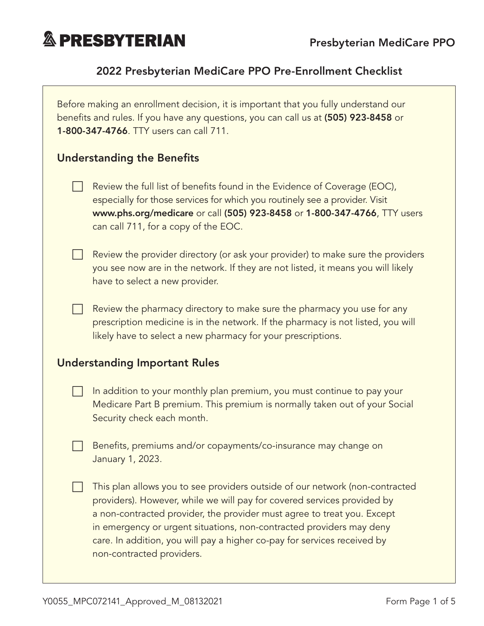

## 2022 Presbyterian MediCare PPO Pre-Enrollment Checklist

| Before making an enrollment decision, it is important that you fully understand our<br>benefits and rules. If you have any questions, you can call us at (505) 923-8458 or<br>1-800-347-4766. TTY users can call 711. |                                                                                                                                                                                                                                                                                                                                                                                                                     |  |  |  |
|-----------------------------------------------------------------------------------------------------------------------------------------------------------------------------------------------------------------------|---------------------------------------------------------------------------------------------------------------------------------------------------------------------------------------------------------------------------------------------------------------------------------------------------------------------------------------------------------------------------------------------------------------------|--|--|--|
| <b>Understanding the Benefits</b>                                                                                                                                                                                     |                                                                                                                                                                                                                                                                                                                                                                                                                     |  |  |  |
|                                                                                                                                                                                                                       | Review the full list of benefits found in the Evidence of Coverage (EOC),<br>especially for those services for which you routinely see a provider. Visit<br>www.phs.org/medicare or call (505) 923-8458 or 1-800-347-4766, TTY users<br>can call 711, for a copy of the EOC.                                                                                                                                        |  |  |  |
|                                                                                                                                                                                                                       | Review the provider directory (or ask your provider) to make sure the providers<br>you see now are in the network. If they are not listed, it means you will likely<br>have to select a new provider.                                                                                                                                                                                                               |  |  |  |
|                                                                                                                                                                                                                       | Review the pharmacy directory to make sure the pharmacy you use for any<br>prescription medicine is in the network. If the pharmacy is not listed, you will<br>likely have to select a new pharmacy for your prescriptions.                                                                                                                                                                                         |  |  |  |
| <b>Understanding Important Rules</b>                                                                                                                                                                                  |                                                                                                                                                                                                                                                                                                                                                                                                                     |  |  |  |
|                                                                                                                                                                                                                       | In addition to your monthly plan premium, you must continue to pay your<br>Medicare Part B premium. This premium is normally taken out of your Social<br>Security check each month.                                                                                                                                                                                                                                 |  |  |  |
|                                                                                                                                                                                                                       | Benefits, premiums and/or copayments/co-insurance may change on<br>January 1, 2023.                                                                                                                                                                                                                                                                                                                                 |  |  |  |
|                                                                                                                                                                                                                       | This plan allows you to see providers outside of our network (non-contracted<br>providers). However, while we will pay for covered services provided by<br>a non-contracted provider, the provider must agree to treat you. Except<br>in emergency or urgent situations, non-contracted providers may deny<br>care. In addition, you will pay a higher co-pay for services received by<br>non-contracted providers. |  |  |  |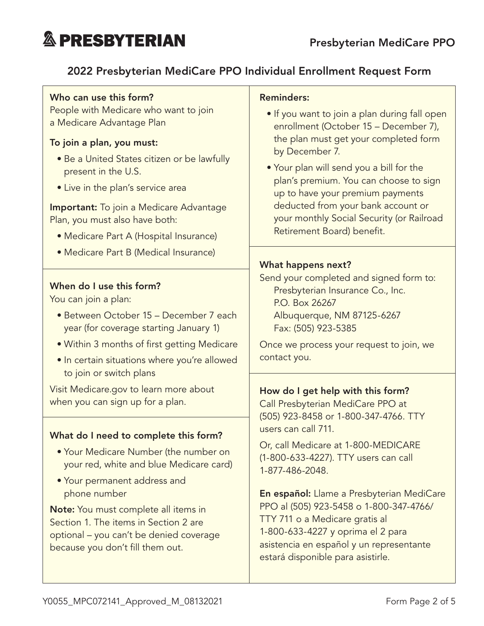### 2022 Presbyterian MediCare PPO Individual Enrollment Request Form

#### Who can use this form?

People with Medicare who want to join a Medicare Advantage Plan

#### To join a plan, you must:

- Be a United States citizen or be lawfully present in the U.S.
- Live in the plan's service area

**Important:** To join a Medicare Advantage Plan, you must also have both:

- Medicare Part A (Hospital Insurance)
- Medicare Part B (Medical Insurance)

#### When do I use this form?

You can join a plan:

- Between October 15 December 7 each year (for coverage starting January 1)
- Within 3 months of first getting Medicare
- In certain situations where you're allowed to join or switch plans

Visit [Medicare.gov](http://Medicare.gov) to learn more about when you can sign up for a plan.

#### What do I need to complete this form?

- Your Medicare Number (the number on your red, white and blue Medicare card)
- Your permanent address and phone number

Note: You must complete all items in Section 1. The items in Section 2 are optional – you can't be denied coverage because you don't fill them out.

#### Reminders:

- If you want to join a plan during fall open enrollment (October 15 – December 7), the plan must get your completed form by December 7.
- Your plan will send you a bill for the plan's premium. You can choose to sign up to have your premium payments deducted from your bank account or your monthly Social Security (or Railroad Retirement Board) benefit.

#### What happens next?

Send your completed and signed form to: Presbyterian Insurance Co., Inc. P.O. Box 26267 Albuquerque, NM 87125-6267 Fax: (505) 923-5385

Once we process your request to join, we contact you.

#### How do I get help with this form?

Call Presbyterian MediCare PPO at (505) 923-8458 or 1-800-347-4766. TTY users can call 711.

Or, call Medicare at 1-800-MEDICARE (1-800-633-4227). TTY users can call 1-877-486-2048.

En español: Llame a Presbyterian MediCare PPO al (505) 923-5458 o 1-800-347-4766/ TTY 711 o a Medicare gratis al 1-800-633-4227 y oprima el 2 para asistencia en español y un representante estará disponible para asistirle.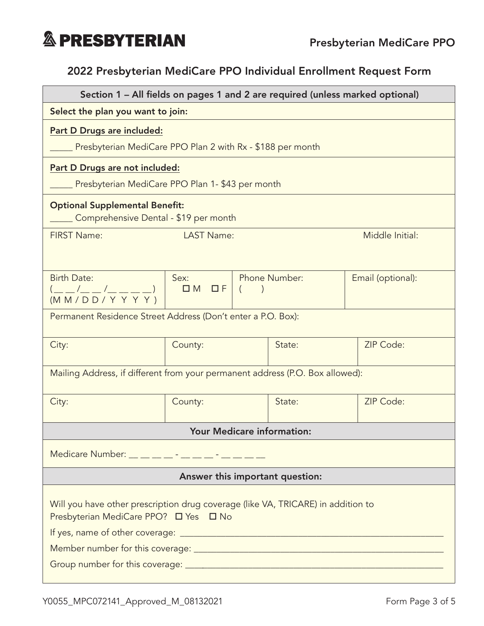### 2022 Presbyterian MediCare PPO Individual Enrollment Request Form

| Select the plan you want to join:<br>Part D Drugs are included:<br>Presbyterian MediCare PPO Plan 2 with Rx - \$188 per month<br>Part D Drugs are not included:<br>Presbyterian MediCare PPO Plan 1- \$43 per month<br><b>Optional Supplemental Benefit:</b><br>Comprehensive Dental - \$19 per month<br><b>LAST Name:</b><br>Middle Initial:<br><b>FIRST Name:</b> |  |  |  |  |  |  |
|---------------------------------------------------------------------------------------------------------------------------------------------------------------------------------------------------------------------------------------------------------------------------------------------------------------------------------------------------------------------|--|--|--|--|--|--|
|                                                                                                                                                                                                                                                                                                                                                                     |  |  |  |  |  |  |
|                                                                                                                                                                                                                                                                                                                                                                     |  |  |  |  |  |  |
|                                                                                                                                                                                                                                                                                                                                                                     |  |  |  |  |  |  |
|                                                                                                                                                                                                                                                                                                                                                                     |  |  |  |  |  |  |
|                                                                                                                                                                                                                                                                                                                                                                     |  |  |  |  |  |  |
|                                                                                                                                                                                                                                                                                                                                                                     |  |  |  |  |  |  |
|                                                                                                                                                                                                                                                                                                                                                                     |  |  |  |  |  |  |
|                                                                                                                                                                                                                                                                                                                                                                     |  |  |  |  |  |  |
| <b>Birth Date:</b><br>Phone Number:<br>Sex:<br>Email (optional):                                                                                                                                                                                                                                                                                                    |  |  |  |  |  |  |
| $\Box M \quad \Box F \mid ($<br>$\frac{(- - / \_ - / \_ -}{(M M / D D / Y Y Y)}$                                                                                                                                                                                                                                                                                    |  |  |  |  |  |  |
| Permanent Residence Street Address (Don't enter a P.O. Box):                                                                                                                                                                                                                                                                                                        |  |  |  |  |  |  |
|                                                                                                                                                                                                                                                                                                                                                                     |  |  |  |  |  |  |
| ZIP Code:<br>State:<br>City:<br>County:                                                                                                                                                                                                                                                                                                                             |  |  |  |  |  |  |
| Mailing Address, if different from your permanent address (P.O. Box allowed):                                                                                                                                                                                                                                                                                       |  |  |  |  |  |  |
| ZIP Code:<br>State:<br>County:<br>City:                                                                                                                                                                                                                                                                                                                             |  |  |  |  |  |  |
|                                                                                                                                                                                                                                                                                                                                                                     |  |  |  |  |  |  |
| Your Medicare information:                                                                                                                                                                                                                                                                                                                                          |  |  |  |  |  |  |
| Medicare Number: _ _ _ _ _ _ _ - _ _ _ _ _ _ _                                                                                                                                                                                                                                                                                                                      |  |  |  |  |  |  |
| Answer this important question:                                                                                                                                                                                                                                                                                                                                     |  |  |  |  |  |  |
| Will you have other prescription drug coverage (like VA, TRICARE) in addition to<br>Presbyterian MediCare PPO? □ Yes □ No<br>If yes, name of other coverage: entertainment of year of years and year of year and year of year and year of y                                                                                                                         |  |  |  |  |  |  |
|                                                                                                                                                                                                                                                                                                                                                                     |  |  |  |  |  |  |
|                                                                                                                                                                                                                                                                                                                                                                     |  |  |  |  |  |  |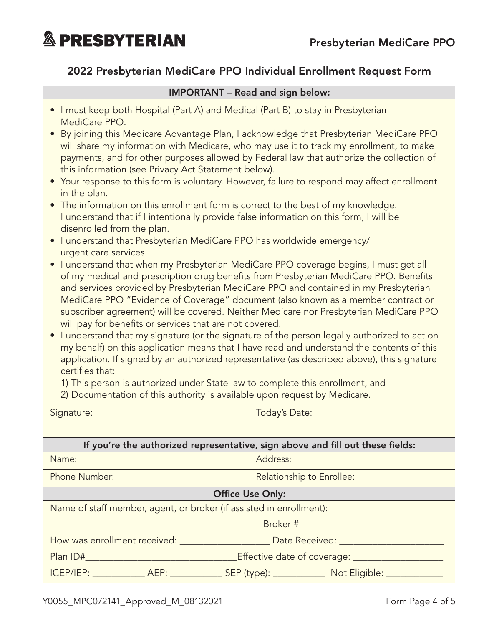#### 2022 Presbyterian MediCare PPO Individual Enrollment Request Form

#### IMPORTANT – Read and sign below:

- I must keep both Hospital (Part A) and Medical (Part B) to stay in Presbyterian MediCare PPO.
- By joining this Medicare Advantage Plan, I acknowledge that Presbyterian MediCare PPO will share my information with Medicare, who may use it to track my enrollment, to make payments, and for other purposes allowed by Federal law that authorize the collection of this information (see Privacy Act Statement below).
- Your response to this form is voluntary. However, failure to respond may affect enrollment in the plan.
- The information on this enrollment form is correct to the best of my knowledge. I understand that if I intentionally provide false information on this form, I will be disenrolled from the plan.
- I understand that Presbyterian MediCare PPO has worldwide emergency/ urgent care services.
- I understand that when my Presbyterian MediCare PPO coverage begins, I must get all of my medical and prescription drug benefits from Presbyterian MediCare PPO. Benefits and services provided by Presbyterian MediCare PPO and contained in my Presbyterian MediCare PPO "Evidence of Coverage" document (also known as a member contract or subscriber agreement) will be covered. Neither Medicare nor Presbyterian MediCare PPO will pay for benefits or services that are not covered.
- I understand that my signature (or the signature of the person legally authorized to act on my behalf) on this application means that I have read and understand the contents of this application. If signed by an authorized representative (as described above), this signature certifies that:
	- 1) This person is authorized under State law to complete this enrollment, and
	- 2) Documentation of this authority is available upon request by Medicare.

| Signature:                                                                                                     |  | Today's Date:             |                                                                                                     |  |  |
|----------------------------------------------------------------------------------------------------------------|--|---------------------------|-----------------------------------------------------------------------------------------------------|--|--|
|                                                                                                                |  |                           |                                                                                                     |  |  |
| If you're the authorized representative, sign above and fill out these fields:                                 |  |                           |                                                                                                     |  |  |
| Name:                                                                                                          |  | Address:                  |                                                                                                     |  |  |
| Phone Number:                                                                                                  |  | Relationship to Enrollee: |                                                                                                     |  |  |
| <b>Office Use Only:</b>                                                                                        |  |                           |                                                                                                     |  |  |
| Name of staff member, agent, or broker (if assisted in enrollment):                                            |  |                           |                                                                                                     |  |  |
| Broker # _________________________                                                                             |  |                           |                                                                                                     |  |  |
| How was enrollment received: North Contract Date Received: North Contract Providence Contract Providence Contr |  |                           |                                                                                                     |  |  |
| <b>Plan ID# Example 2014</b><br>_Effective date of coverage: _______________                                   |  |                           |                                                                                                     |  |  |
|                                                                                                                |  |                           | ICEP/IEP: ______________ AEP: _______________ SEP (type): ________________ Not Eligible: __________ |  |  |